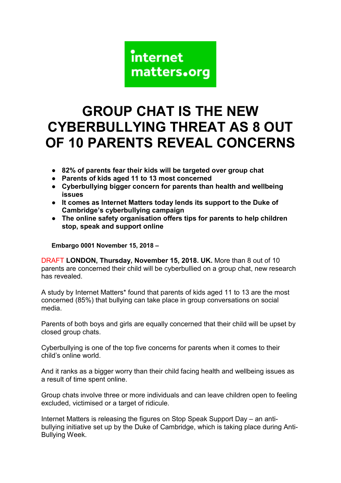

## **GROUP CHAT IS THE NEW CYBERBULLYING THREAT AS 8 OUT OF 10 PARENTS REVEAL CONCERNS**

- **82% of parents fear their kids will be targeted over group chat**
- **Parents of kids aged 11 to 13 most concerned**
- **Cyberbullying bigger concern for parents than health and wellbeing issues**
- **It comes as Internet Matters today lends its support to the Duke of Cambridge's cyberbullying campaign**
- **The online safety organisation offers tips for parents to help children stop, speak and support online**

**Embargo 0001 November 15, 2018 –**

DRAFT **LONDON, Thursday, November 15, 2018. UK.** More than 8 out of 10 parents are concerned their child will be cyberbullied on a group chat, new research has revealed.

A study by Internet Matters\* found that parents of kids aged 11 to 13 are the most concerned (85%) that bullying can take place in group conversations on social media.

Parents of both boys and girls are equally concerned that their child will be upset by closed group chats.

Cyberbullying is one of the top five concerns for parents when it comes to their child's online world.

And it ranks as a bigger worry than their child facing health and wellbeing issues as a result of time spent online.

Group chats involve three or more individuals and can leave children open to feeling excluded, victimised or a target of ridicule.

Internet Matters is releasing the figures on Stop Speak Support Day – an antibullying initiative set up by the Duke of Cambridge, which is taking place during Anti-Bullying Week.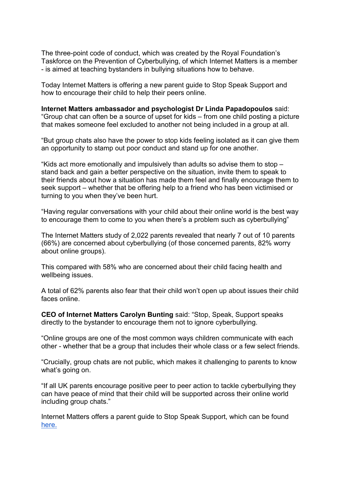The three-point code of conduct, which was created by the Royal Foundation's Taskforce on the Prevention of Cyberbullying, of which Internet Matters is a member - is aimed at teaching bystanders in bullying situations how to behave.

Today Internet Matters is offering a new parent guide to Stop Speak Support and how to encourage their child to help their peers online.

**Internet Matters ambassador and psychologist Dr Linda Papadopoulos** said: "Group chat can often be a source of upset for kids – from one child posting a picture that makes someone feel excluded to another not being included in a group at all.

"But group chats also have the power to stop kids feeling isolated as it can give them an opportunity to stamp out poor conduct and stand up for one another.

"Kids act more emotionally and impulsively than adults so advise them to stop – stand back and gain a better perspective on the situation, invite them to speak to their friends about how a situation has made them feel and finally encourage them to seek support – whether that be offering help to a friend who has been victimised or turning to you when they've been hurt.

"Having regular conversations with your child about their online world is the best way to encourage them to come to you when there's a problem such as cyberbullying"

The Internet Matters study of 2,022 parents revealed that nearly 7 out of 10 parents (66%) are concerned about cyberbullying (of those concerned parents, 82% worry about online groups).

This compared with 58% who are concerned about their child facing health and wellbeing issues.

A total of 62% parents also fear that their child won't open up about issues their child faces online.

**CEO of Internet Matters Carolyn Bunting** said: "Stop, Speak, Support speaks directly to the bystander to encourage them not to ignore cyberbullying.

"Online groups are one of the most common ways children communicate with each other - whether that be a group that includes their whole class or a few select friends.

"Crucially, group chats are not public, which makes it challenging to parents to know what's going on.

"If all UK parents encourage positive peer to peer action to tackle cyberbullying they can have peace of mind that their child will be supported across their online world including group chats."

Internet Matters offers a parent guide to Stop Speak Support, which can be found [here.](https://www.internetmatters.org/issues-old/cyberbullying2/stop-speak-support-parent-advice/)